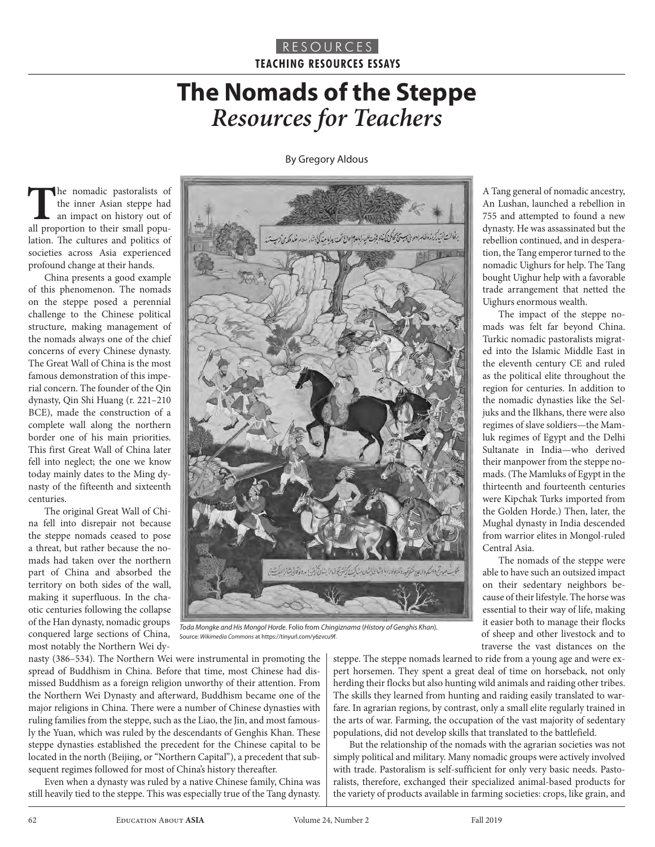# **The Nomads of the Steppe**  *Resources for Teachers*

By Gregory Aldous

The nomadic pastoralists of the inner Asian steppe had an impact on history out of all proportion to their small poputhe inner Asian steppe had an impact on history out of lation. The cultures and politics of societies across Asia experienced profound change at their hands.

China presents a good example of this phenomenon. The nomads on the steppe posed a perennial challenge to the Chinese political structure, making management of the nomads always one of the chief concerns of every Chinese dynasty. The Great Wall of China is the most famous demonstration of this imperial concern. The founder of the Qin dynasty, Qin Shi Huang (r. 221–210 BCE), made the construction of a complete wall along the northern border one of his main priorities. This first Great Wall of China later fell into neglect; the one we know today mainly dates to the Ming dynasty of the fifteenth and sixteenth centuries.

The original Great Wall of China fell into disrepair not because the steppe nomads ceased to pose a threat, but rather because the nomads had taken over the northern part of China and absorbed the territory on both sides of the wall, making it superfluous. In the chaotic centuries following the collapse of the Han dynasty, nomadic groups conquered large sections of China, most notably the Northern Wei dy-



*Toda Mongke and His Mongol Horde*. Folio from *Chingiznama* (*History of Genghis Khan*). Source: *Wikimedia Commons* at https://tinyurl.com/y6zvcu9f.

nasty (386–534). The Northern Wei were instrumental in promoting the spread of Buddhism in China. Before that time, most Chinese had dismissed Buddhism as a foreign religion unworthy of their attention. From the Northern Wei Dynasty and afterward, Buddhism became one of the major religions in China. There were a number of Chinese dynasties with ruling families from the steppe, such as the Liao, the Jin, and most famously the Yuan, which was ruled by the descendants of Genghis Khan. These steppe dynasties established the precedent for the Chinese capital to be located in the north (Beijing, or "Northern Capital"), a precedent that subsequent regimes followed for most of China's history thereafter.

Even when a dynasty was ruled by a native Chinese family, China was still heavily tied to the steppe. This was especially true of the Tang dynasty. steppe. The steppe nomads learned to ride from a young age and were expert horsemen. They spent a great deal of time on horseback, not only herding their flocks but also hunting wild animals and raiding other tribes. The skills they learned from hunting and raiding easily translated to warfare. In agrarian regions, by contrast, only a small elite regularly trained in the arts of war. Farming, the occupation of the vast majority of sedentary populations, did not develop skills that translated to the battlefield.

But the relationship of the nomads with the agrarian societies was not simply political and military. Many nomadic groups were actively involved with trade. Pastoralism is self-sufficient for only very basic needs. Pastoralists, therefore, exchanged their specialized animal-based products for the variety of products available in farming societies: crops, like grain, and

A Tang general of nomadic ancestry, An Lushan, launched a rebellion in 755 and attempted to found a new dynasty. He was assassinated but the rebellion continued, and in desperation, the Tang emperor turned to the nomadic Uighurs for help. The Tang bought Uighur help with a favorable trade arrangement that netted the Uighurs enormous wealth.

The impact of the steppe nomads was felt far beyond China. Turkic nomadic pastoralists migrated into the Islamic Middle East in the eleventh century CE and ruled as the political elite throughout the region for centuries. In addition to the nomadic dynasties like the Seljuks and the Ilkhans, there were also regimes of slave soldiers—the Mamluk regimes of Egypt and the Delhi Sultanate in India—who derived their manpower from the steppe nomads. (The Mamluks of Egypt in the thirteenth and fourteenth centuries were Kipchak Turks imported from the Golden Horde.) Then, later, the Mughal dynasty in India descended from warrior elites in Mongol-ruled Central Asia.

The nomads of the steppe were able to have such an outsized impact on their sedentary neighbors because of their lifestyle. The horse was essential to their way of life, making it easier both to manage their flocks of sheep and other livestock and to traverse the vast distances on the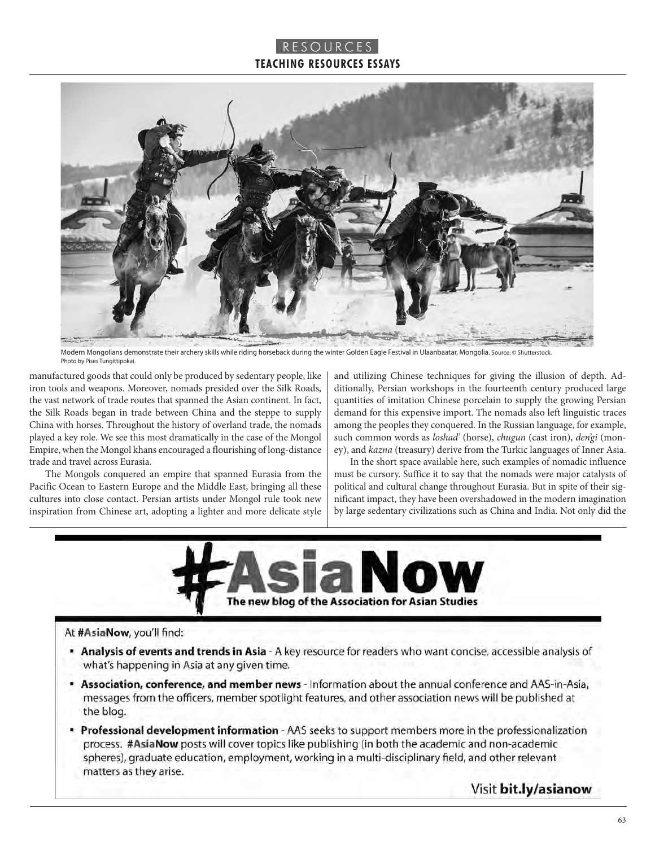

Modern Mongolians demonstrate their archery skills while riding horseback during the winter Golden Eagle Festival in Ulaanbaatar, Mongolia. Source: © Shutterstock. Photo by Pises Tungittipokai.

manufactured goods that could only be produced by sedentary people, like iron tools and weapons. Moreover, nomads presided over the Silk Roads, the vast network of trade routes that spanned the Asian continent. In fact, the Silk Roads began in trade between China and the steppe to supply China with horses. Throughout the history of overland trade, the nomads played a key role. We see this most dramatically in the case of the Mongol Empire, when the Mongol khans encouraged a flourishing of long-distance trade and travel across Eurasia.

The Mongols conquered an empire that spanned Eurasia from the Pacific Ocean to Eastern Europe and the Middle East, bringing all these cultures into close contact. Persian artists under Mongol rule took new inspiration from Chinese art, adopting a lighter and more delicate style

and utilizing Chinese techniques for giving the illusion of depth. Additionally, Persian workshops in the fourteenth century produced large quantities of imitation Chinese porcelain to supply the growing Persian demand for this expensive import. The nomads also left linguistic traces among the peoples they conquered. In the Russian language, for example, such common words as *loshad'* (horse), *chugun* (cast iron), *den'gi* (money), and *kazna* (treasury) derive from the Turkic languages of Inner Asia.

In the short space available here, such examples of nomadic influence must be cursory. Suffice it to say that the nomads were major catalysts of political and cultural change throughout Eurasia. But in spite of their significant impact, they have been overshadowed in the modern imagination by large sedentary civilizations such as China and India. Not only did the



#### At #AsiaNow, you'll find:

- " Analysis of events and trends in Asia A key resource for readers who want concise, accessible analysis of what's happening in Asia at any given time.
- **Association, conference, and member news** Information about the annual conference and AAS-in-Asia, messages from the officers, member spotlight features, and other association news will be published at the blog.
- " Professional development information AAS seeks to support members more in the professionalization process. #AsiaNow posts will cover topics like publishing (in both the academic and non-academic spheres), graduate education, employment, working in a multi-disciplinary field, and other relevant matters as they arise.

Visit bit.ly/asianow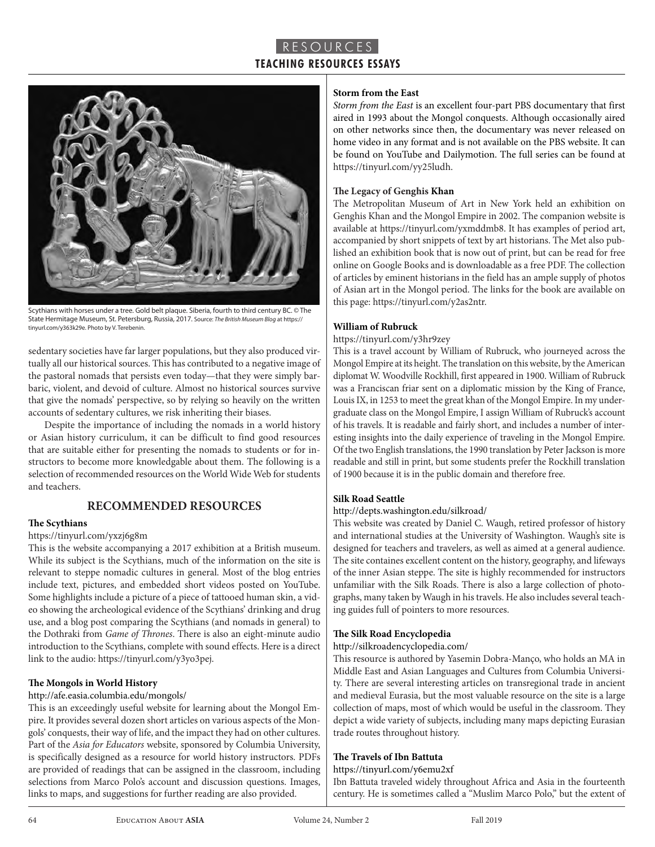

Scythians with horses under a tree. Gold belt plaque. Siberia, fourth to third century BC. © The State Hermitage Museum, St. Petersburg, Russia, 2017. Source: *The British Museum Blog* at https:// tinyurl.com/y363k29e. Photo by V. Terebenin.

sedentary societies have far larger populations, but they also produced virtually all our historical sources. This has contributed to a negative image of the pastoral nomads that persists even today—that they were simply barbaric, violent, and devoid of culture. Almost no historical sources survive that give the nomads' perspective, so by relying so heavily on the written accounts of sedentary cultures, we risk inheriting their biases.

Despite the importance of including the nomads in a world history or Asian history curriculum, it can be difficult to find good resources that are suitable either for presenting the nomads to students or for instructors to become more knowledgable about them. The following is a selection of recommended resources on the World Wide Web for students and teachers.

## **RECOMMENDED RESOURCES**

#### **The Scythians**

#### https://tinyurl.com/yxzj6g8m

This is the website accompanying a 2017 exhibition at a British museum. While its subject is the Scythians, much of the information on the site is relevant to steppe nomadic cultures in general. Most of the blog entries include text, pictures, and embedded short videos posted on YouTube. Some highlights include a picture of a piece of tattooed human skin, a video showing the archeological evidence of the Scythians' drinking and drug use, and a blog post comparing the Scythians (and nomads in general) to the Dothraki from *Game of Thrones*. There is also an eight-minute audio introduction to the Scythians, complete with sound effects. Here is a direct link to the audio: https://tinyurl.com/y3yo3pej.

#### **The Mongols in World History**

#### http://afe.easia.columbia.edu/mongols/

This is an exceedingly useful website for learning about the Mongol Empire. It provides several dozen short articles on various aspects of the Mongols' conquests, their way of life, and the impact they had on other cultures. Part of the *Asia for Educators* website, sponsored by Columbia University, is specifically designed as a resource for world history instructors. PDFs are provided of readings that can be assigned in the classroom, including selections from Marco Polo's account and discussion questions. Images, links to maps, and suggestions for further reading are also provided.

#### **Storm from the East**

*Storm from the East* is an excellent four-part PBS documentary that first aired in 1993 about the Mongol conquests. Although occasionally aired on other networks since then, the documentary was never released on home video in any format and is not available on the PBS website. It can be found on YouTube and Dailymotion. The full series can be found at https://tinyurl.com/yy25ludh.

#### **The Legacy of Genghis Khan**

The Metropolitan Museum of Art in New York held an exhibition on Genghis Khan and the Mongol Empire in 2002. The companion website is available at https://tinyurl.com/yxmddmb8. It has examples of period art, accompanied by short snippets of text by art historians. The Met also published an exhibition book that is now out of print, but can be read for free online on Google Books and is downloadable as a free PDF. The collection of articles by eminent historians in the field has an ample supply of photos of Asian art in the Mongol period. The links for the book are available on this page: https://tinyurl.com/y2as2ntr.

#### **William of Rubruck**

#### https://tinyurl.com/y3hr9zey

This is a travel account by William of Rubruck, who journeyed across the Mongol Empire at its height. The translation on this website, by the American diplomat W. Woodville Rockhill, first appeared in 1900. William of Rubruck was a Franciscan friar sent on a diplomatic mission by the King of France, Louis IX, in 1253 to meet the great khan of the Mongol Empire. In my undergraduate class on the Mongol Empire, I assign William of Rubruck's account of his travels. It is readable and fairly short, and includes a number of interesting insights into the daily experience of traveling in the Mongol Empire. Of the two English translations, the 1990 translation by Peter Jackson is more readable and still in print, but some students prefer the Rockhill translation of 1900 because it is in the public domain and therefore free.

#### **Silk Road Seattle**

#### http://depts.washington.edu/silkroad/

This website was created by Daniel C. Waugh, retired professor of history and international studies at the University of Washington. Waugh's site is designed for teachers and travelers, as well as aimed at a general audience. The site containes excellent content on the history, geography, and lifeways of the inner Asian steppe. The site is highly recommended for instructors unfamiliar with the Silk Roads. There is also a large collection of photographs, many taken by Waugh in his travels. He also includes several teaching guides full of pointers to more resources.

#### **The Silk Road Encyclopedia**

#### http://silkroadencyclopedia.com/

This resource is authored by Yasemin Dobra-Manço, who holds an MA in Middle East and Asian Languages and Cultures from Columbia University. There are several interesting articles on transregional trade in ancient and medieval Eurasia, but the most valuable resource on the site is a large collection of maps, most of which would be useful in the classroom. They depict a wide variety of subjects, including many maps depicting Eurasian trade routes throughout history.

#### **The Travels of Ibn Battuta**

#### https://tinyurl.com/y6emu2xf

Ibn Battuta traveled widely throughout Africa and Asia in the fourteenth century. He is sometimes called a "Muslim Marco Polo," but the extent of